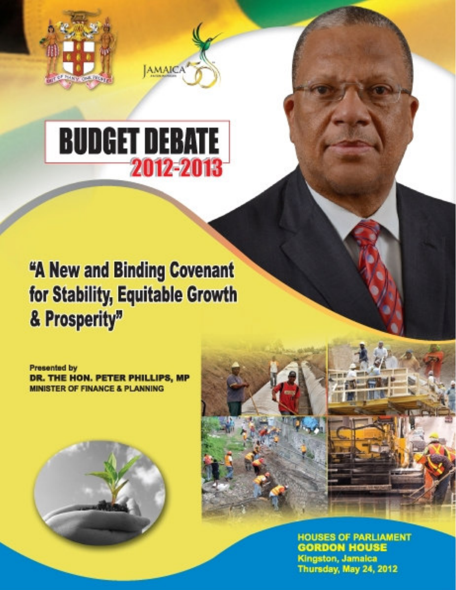

# **BUDGET DEBATE** 2012-2013

AMAICA

## "A New and Binding Covenant for Stability, Equitable Growth & Prosperity"

**Presented by** DR. THE HON. PETER PHILLIPS, MP **MINISTER OF FINANCE & PLANNING** 





**HOUSES OF PARLIAMENT GORDON HOUSE** Kingston, Jamaica Thursday, May 24, 2012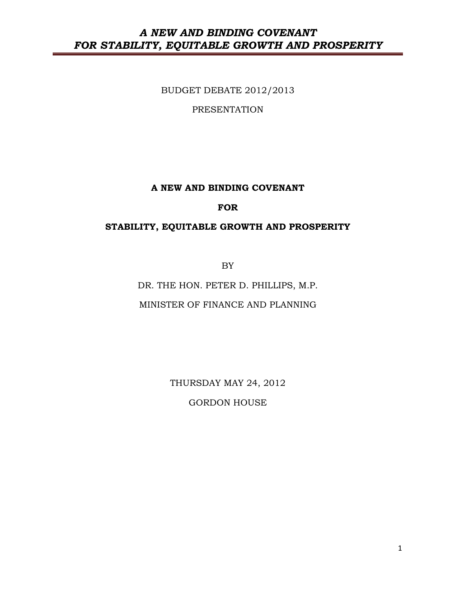BUDGET DEBATE 2012/2013

PRESENTATION

#### A NEW AND BINDING COVENANT

#### FOR

#### STABILITY, EQUITABLE GROWTH AND PROSPERITY

BY

DR. THE HON. PETER D. PHILLIPS, M.P. MINISTER OF FINANCE AND PLANNING

THURSDAY MAY 24, 2012

GORDON HOUSE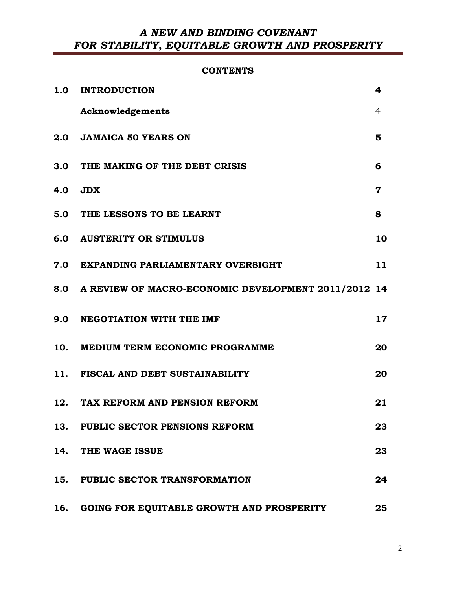#### **CONTENTS**

|     | 1.0 INTRODUCTION                                        | 4               |
|-----|---------------------------------------------------------|-----------------|
|     | Acknowledgements                                        | 4               |
|     | 2.0 JAMAICA 50 YEARS ON                                 | 5               |
|     | 3.0 THE MAKING OF THE DEBT CRISIS                       | 6               |
|     | 4.0 JDX                                                 | 7               |
|     | 5.0 THE LESSONS TO BE LEARNT                            | 8               |
|     | <b>6.0 AUSTERITY OR STIMULUS</b>                        | 10              |
|     | 7.0 EXPANDING PARLIAMENTARY OVERSIGHT                   | 11              |
|     | 8.0 A REVIEW OF MACRO-ECONOMIC DEVELOPMENT 2011/2012 14 |                 |
|     | 9.0 NEGOTIATION WITH THE IMF                            | 17 <sub>2</sub> |
|     | 10. MEDIUM TERM ECONOMIC PROGRAMME                      | 20              |
|     | 11. FISCAL AND DEBT SUSTAINABILITY                      | 20              |
|     | 12. TAX REFORM AND PENSION REFORM                       | 21              |
|     | 13. PUBLIC SECTOR PENSIONS REFORM                       | 23              |
|     | 14. THE WAGE ISSUE                                      | 23              |
|     | 15. PUBLIC SECTOR TRANSFORMATION                        | 24              |
| 16. | GOING FOR EQUITABLE GROWTH AND PROSPERITY               | 25              |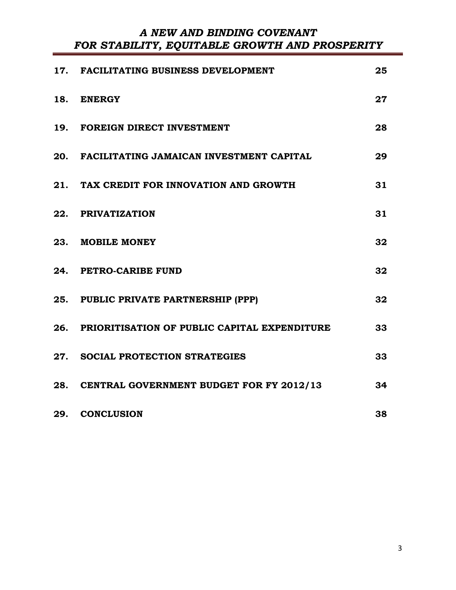| 17. FACILITATING BUSINESS DEVELOPMENT            | 25 |
|--------------------------------------------------|----|
| 18. ENERGY                                       | 27 |
| 19. FOREIGN DIRECT INVESTMENT                    | 28 |
| 20. FACILITATING JAMAICAN INVESTMENT CAPITAL     | 29 |
| 21. TAX CREDIT FOR INNOVATION AND GROWTH         | 31 |
| 22. PRIVATIZATION                                | 31 |
| 23. MOBILE MONEY                                 | 32 |
| 24. PETRO-CARIBE FUND                            | 32 |
| 25. PUBLIC PRIVATE PARTNERSHIP (PPP)             | 32 |
| 26. PRIORITISATION OF PUBLIC CAPITAL EXPENDITURE | 33 |
| 27. SOCIAL PROTECTION STRATEGIES                 | 33 |
| 28. CENTRAL GOVERNMENT BUDGET FOR FY 2012/13     | 34 |
| 29. CONCLUSION                                   | 38 |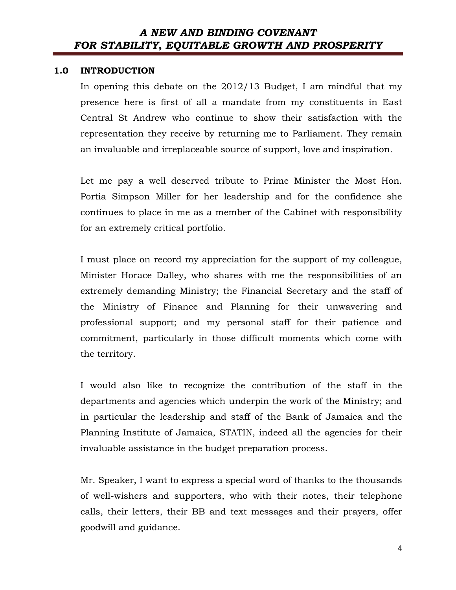#### 1.0 INTRODUCTION

In opening this debate on the 2012/13 Budget, I am mindful that my presence here is first of all a mandate from my constituents in East Central St Andrew who continue to show their satisfaction with the representation they receive by returning me to Parliament. They remain an invaluable and irreplaceable source of support, love and inspiration.

Let me pay a well deserved tribute to Prime Minister the Most Hon. Portia Simpson Miller for her leadership and for the confidence she continues to place in me as a member of the Cabinet with responsibility for an extremely critical portfolio.

I must place on record my appreciation for the support of my colleague, Minister Horace Dalley, who shares with me the responsibilities of an extremely demanding Ministry; the Financial Secretary and the staff of the Ministry of Finance and Planning for their unwavering and professional support; and my personal staff for their patience and commitment, particularly in those difficult moments which come with the territory.

I would also like to recognize the contribution of the staff in the departments and agencies which underpin the work of the Ministry; and in particular the leadership and staff of the Bank of Jamaica and the Planning Institute of Jamaica, STATIN, indeed all the agencies for their invaluable assistance in the budget preparation process.

Mr. Speaker, I want to express a special word of thanks to the thousands of well-wishers and supporters, who with their notes, their telephone calls, their letters, their BB and text messages and their prayers, offer goodwill and guidance.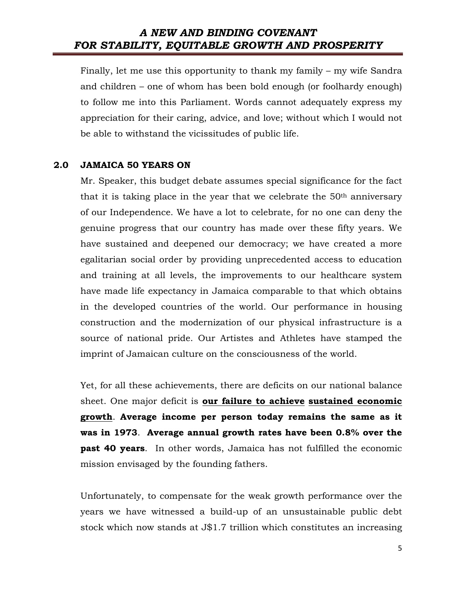Finally, let me use this opportunity to thank my family – my wife Sandra and children – one of whom has been bold enough (or foolhardy enough) to follow me into this Parliament. Words cannot adequately express my appreciation for their caring, advice, and love; without which I would not be able to withstand the vicissitudes of public life.

#### 2.0 JAMAICA 50 YEARS ON

Mr. Speaker, this budget debate assumes special significance for the fact that it is taking place in the year that we celebrate the  $50<sup>th</sup>$  anniversary of our Independence. We have a lot to celebrate, for no one can deny the genuine progress that our country has made over these fifty years. We have sustained and deepened our democracy; we have created a more egalitarian social order by providing unprecedented access to education and training at all levels, the improvements to our healthcare system have made life expectancy in Jamaica comparable to that which obtains in the developed countries of the world. Our performance in housing construction and the modernization of our physical infrastructure is a source of national pride. Our Artistes and Athletes have stamped the imprint of Jamaican culture on the consciousness of the world.

Yet, for all these achievements, there are deficits on our national balance sheet. One major deficit is our failure to achieve sustained economic growth. Average income per person today remains the same as it was in 1973. Average annual growth rates have been 0.8% over the past 40 years. In other words, Jamaica has not fulfilled the economic mission envisaged by the founding fathers.

Unfortunately, to compensate for the weak growth performance over the years we have witnessed a build-up of an unsustainable public debt stock which now stands at J\$1.7 trillion which constitutes an increasing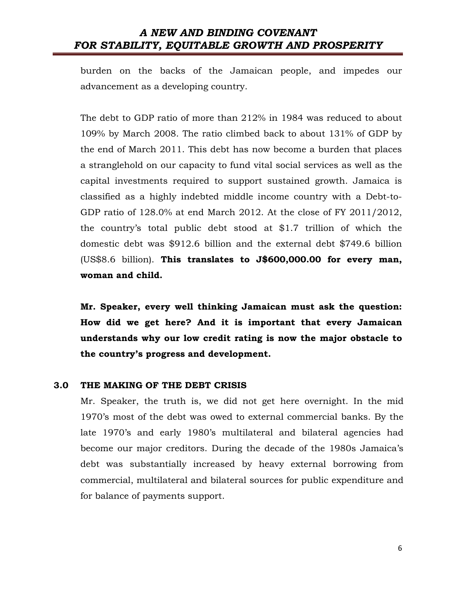burden on the backs of the Jamaican people, and impedes our advancement as a developing country.

The debt to GDP ratio of more than 212% in 1984 was reduced to about 109% by March 2008. The ratio climbed back to about 131% of GDP by the end of March 2011. This debt has now become a burden that places a stranglehold on our capacity to fund vital social services as well as the capital investments required to support sustained growth. Jamaica is classified as a highly indebted middle income country with a Debt-to-GDP ratio of 128.0% at end March 2012. At the close of FY 2011/2012, the country's total public debt stood at \$1.7 trillion of which the domestic debt was \$912.6 billion and the external debt \$749.6 billion (US\$8.6 billion). This translates to J\$600,000.00 for every man, woman and child.

Mr. Speaker, every well thinking Jamaican must ask the question: How did we get here? And it is important that every Jamaican understands why our low credit rating is now the major obstacle to the country's progress and development.

#### 3.0 THE MAKING OF THE DEBT CRISIS

Mr. Speaker, the truth is, we did not get here overnight. In the mid 1970's most of the debt was owed to external commercial banks. By the late 1970's and early 1980's multilateral and bilateral agencies had become our major creditors. During the decade of the 1980s Jamaica's debt was substantially increased by heavy external borrowing from commercial, multilateral and bilateral sources for public expenditure and for balance of payments support.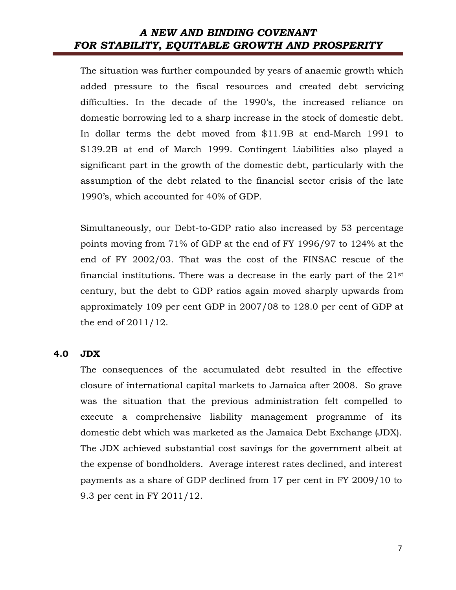The situation was further compounded by years of anaemic growth which added pressure to the fiscal resources and created debt servicing difficulties. In the decade of the 1990's, the increased reliance on domestic borrowing led to a sharp increase in the stock of domestic debt. In dollar terms the debt moved from \$11.9B at end-March 1991 to \$139.2B at end of March 1999. Contingent Liabilities also played a significant part in the growth of the domestic debt, particularly with the assumption of the debt related to the financial sector crisis of the late 1990's, which accounted for 40% of GDP.

Simultaneously, our Debt-to-GDP ratio also increased by 53 percentage points moving from 71% of GDP at the end of FY 1996/97 to 124% at the end of FY 2002/03. That was the cost of the FINSAC rescue of the financial institutions. There was a decrease in the early part of the 21st century, but the debt to GDP ratios again moved sharply upwards from approximately 109 per cent GDP in 2007/08 to 128.0 per cent of GDP at the end of 2011/12.

#### 4.0 JDX

The consequences of the accumulated debt resulted in the effective closure of international capital markets to Jamaica after 2008. So grave was the situation that the previous administration felt compelled to execute a comprehensive liability management programme of its domestic debt which was marketed as the Jamaica Debt Exchange (JDX). The JDX achieved substantial cost savings for the government albeit at the expense of bondholders. Average interest rates declined, and interest payments as a share of GDP declined from 17 per cent in FY 2009/10 to 9.3 per cent in FY 2011/12.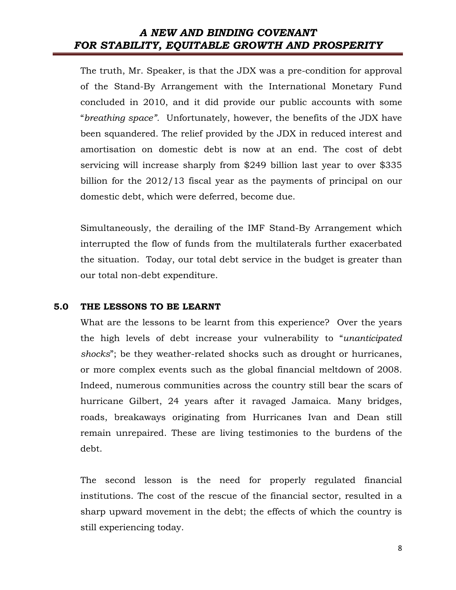The truth, Mr. Speaker, is that the JDX was a pre-condition for approval of the Stand-By Arrangement with the International Monetary Fund concluded in 2010, and it did provide our public accounts with some "breathing space". Unfortunately, however, the benefits of the JDX have been squandered. The relief provided by the JDX in reduced interest and amortisation on domestic debt is now at an end. The cost of debt servicing will increase sharply from \$249 billion last year to over \$335 billion for the 2012/13 fiscal year as the payments of principal on our domestic debt, which were deferred, become due.

Simultaneously, the derailing of the IMF Stand-By Arrangement which interrupted the flow of funds from the multilaterals further exacerbated the situation. Today, our total debt service in the budget is greater than our total non-debt expenditure.

#### 5.0 THE LESSONS TO BE LEARNT

What are the lessons to be learnt from this experience? Over the years the high levels of debt increase your vulnerability to "unanticipated shocks"; be they weather-related shocks such as drought or hurricanes, or more complex events such as the global financial meltdown of 2008. Indeed, numerous communities across the country still bear the scars of hurricane Gilbert, 24 years after it ravaged Jamaica. Many bridges, roads, breakaways originating from Hurricanes Ivan and Dean still remain unrepaired. These are living testimonies to the burdens of the debt.

The second lesson is the need for properly regulated financial institutions. The cost of the rescue of the financial sector, resulted in a sharp upward movement in the debt; the effects of which the country is still experiencing today.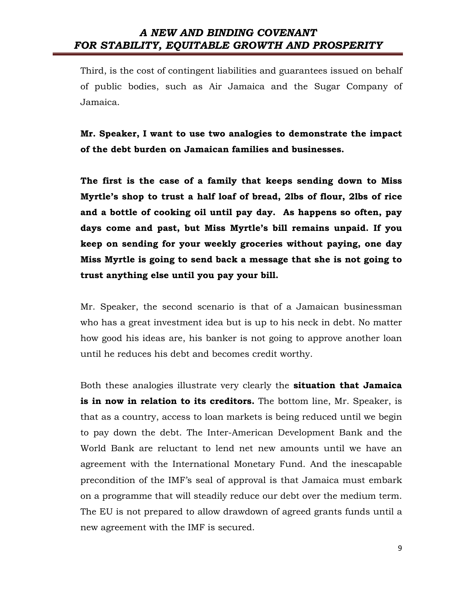Third, is the cost of contingent liabilities and guarantees issued on behalf of public bodies, such as Air Jamaica and the Sugar Company of Jamaica.

Mr. Speaker, I want to use two analogies to demonstrate the impact of the debt burden on Jamaican families and businesses.

The first is the case of a family that keeps sending down to Miss Myrtle's shop to trust a half loaf of bread, 2lbs of flour, 2lbs of rice and a bottle of cooking oil until pay day. As happens so often, pay days come and past, but Miss Myrtle's bill remains unpaid. If you keep on sending for your weekly groceries without paying, one day Miss Myrtle is going to send back a message that she is not going to trust anything else until you pay your bill.

Mr. Speaker, the second scenario is that of a Jamaican businessman who has a great investment idea but is up to his neck in debt. No matter how good his ideas are, his banker is not going to approve another loan until he reduces his debt and becomes credit worthy.

Both these analogies illustrate very clearly the **situation that Jamaica** is in now in relation to its creditors. The bottom line, Mr. Speaker, is that as a country, access to loan markets is being reduced until we begin to pay down the debt. The Inter-American Development Bank and the World Bank are reluctant to lend net new amounts until we have an agreement with the International Monetary Fund. And the inescapable precondition of the IMF's seal of approval is that Jamaica must embark on a programme that will steadily reduce our debt over the medium term. The EU is not prepared to allow drawdown of agreed grants funds until a new agreement with the IMF is secured.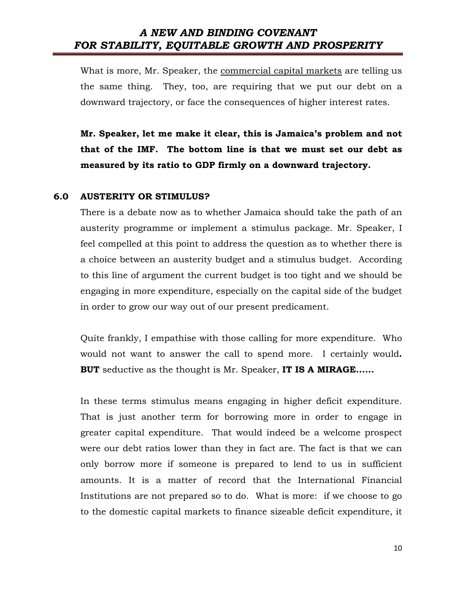What is more, Mr. Speaker, the commercial capital markets are telling us the same thing. They, too, are requiring that we put our debt on a downward trajectory, or face the consequences of higher interest rates.

Mr. Speaker, let me make it clear, this is Jamaica's problem and not that of the IMF. The bottom line is that we must set our debt as measured by its ratio to GDP firmly on a downward trajectory.

#### 6.0 AUSTERITY OR STIMULUS?

There is a debate now as to whether Jamaica should take the path of an austerity programme or implement a stimulus package. Mr. Speaker, I feel compelled at this point to address the question as to whether there is a choice between an austerity budget and a stimulus budget. According to this line of argument the current budget is too tight and we should be engaging in more expenditure, especially on the capital side of the budget in order to grow our way out of our present predicament.

Quite frankly, I empathise with those calling for more expenditure. Who would not want to answer the call to spend more. I certainly would. **BUT** seductive as the thought is Mr. Speaker, **IT IS A MIRAGE......** 

In these terms stimulus means engaging in higher deficit expenditure. That is just another term for borrowing more in order to engage in greater capital expenditure. That would indeed be a welcome prospect were our debt ratios lower than they in fact are. The fact is that we can only borrow more if someone is prepared to lend to us in sufficient amounts. It is a matter of record that the International Financial Institutions are not prepared so to do. What is more: if we choose to go to the domestic capital markets to finance sizeable deficit expenditure, it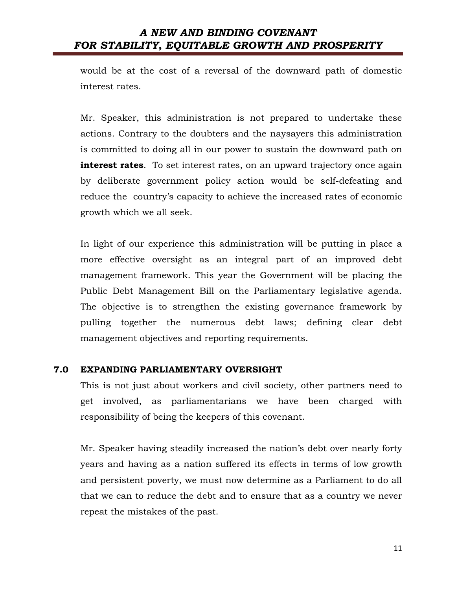would be at the cost of a reversal of the downward path of domestic interest rates.

Mr. Speaker, this administration is not prepared to undertake these actions. Contrary to the doubters and the naysayers this administration is committed to doing all in our power to sustain the downward path on interest rates. To set interest rates, on an upward trajectory once again by deliberate government policy action would be self-defeating and reduce the country's capacity to achieve the increased rates of economic growth which we all seek.

In light of our experience this administration will be putting in place a more effective oversight as an integral part of an improved debt management framework. This year the Government will be placing the Public Debt Management Bill on the Parliamentary legislative agenda. The objective is to strengthen the existing governance framework by pulling together the numerous debt laws; defining clear debt management objectives and reporting requirements.

#### 7.0 EXPANDING PARLIAMENTARY OVERSIGHT

This is not just about workers and civil society, other partners need to get involved, as parliamentarians we have been charged with responsibility of being the keepers of this covenant.

Mr. Speaker having steadily increased the nation's debt over nearly forty years and having as a nation suffered its effects in terms of low growth and persistent poverty, we must now determine as a Parliament to do all that we can to reduce the debt and to ensure that as a country we never repeat the mistakes of the past.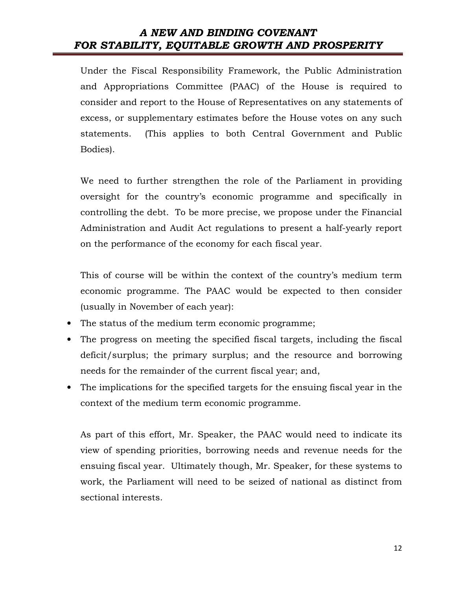Under the Fiscal Responsibility Framework, the Public Administration and Appropriations Committee (PAAC) of the House is required to consider and report to the House of Representatives on any statements of excess, or supplementary estimates before the House votes on any such statements. (This applies to both Central Government and Public Bodies).

We need to further strengthen the role of the Parliament in providing oversight for the country's economic programme and specifically in controlling the debt. To be more precise, we propose under the Financial Administration and Audit Act regulations to present a half-yearly report on the performance of the economy for each fiscal year.

This of course will be within the context of the country's medium term economic programme. The PAAC would be expected to then consider (usually in November of each year):

- The status of the medium term economic programme;
- The progress on meeting the specified fiscal targets, including the fiscal deficit/surplus; the primary surplus; and the resource and borrowing needs for the remainder of the current fiscal year; and,
- The implications for the specified targets for the ensuing fiscal year in the context of the medium term economic programme.

As part of this effort, Mr. Speaker, the PAAC would need to indicate its view of spending priorities, borrowing needs and revenue needs for the ensuing fiscal year. Ultimately though, Mr. Speaker, for these systems to work, the Parliament will need to be seized of national as distinct from sectional interests.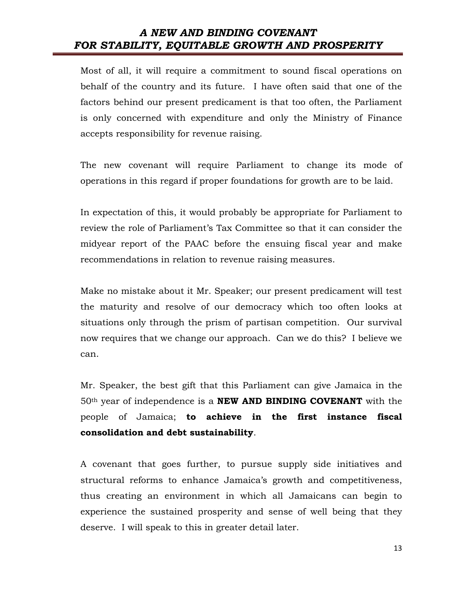Most of all, it will require a commitment to sound fiscal operations on behalf of the country and its future. I have often said that one of the factors behind our present predicament is that too often, the Parliament is only concerned with expenditure and only the Ministry of Finance accepts responsibility for revenue raising.

The new covenant will require Parliament to change its mode of operations in this regard if proper foundations for growth are to be laid.

In expectation of this, it would probably be appropriate for Parliament to review the role of Parliament's Tax Committee so that it can consider the midyear report of the PAAC before the ensuing fiscal year and make recommendations in relation to revenue raising measures.

Make no mistake about it Mr. Speaker; our present predicament will test the maturity and resolve of our democracy which too often looks at situations only through the prism of partisan competition. Our survival now requires that we change our approach. Can we do this? I believe we can.

Mr. Speaker, the best gift that this Parliament can give Jamaica in the  $50<sup>th</sup>$  year of independence is a **NEW AND BINDING COVENANT** with the people of Jamaica; to achieve in the first instance fiscal consolidation and debt sustainability.

A covenant that goes further, to pursue supply side initiatives and structural reforms to enhance Jamaica's growth and competitiveness, thus creating an environment in which all Jamaicans can begin to experience the sustained prosperity and sense of well being that they deserve. I will speak to this in greater detail later.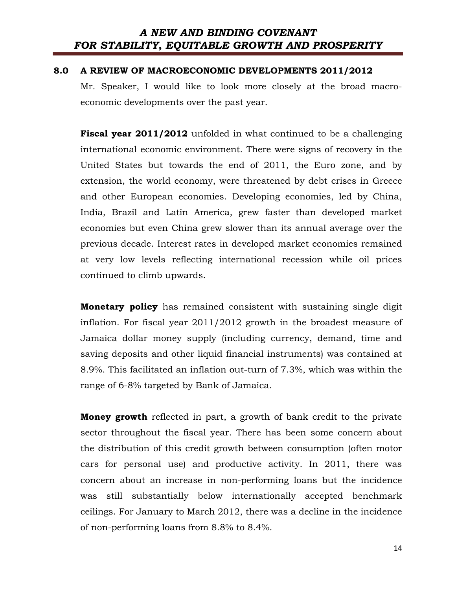#### 8.0 A REVIEW OF MACROECONOMIC DEVELOPMENTS 2011/2012

Mr. Speaker, I would like to look more closely at the broad macroeconomic developments over the past year.

**Fiscal year 2011/2012** unfolded in what continued to be a challenging international economic environment. There were signs of recovery in the United States but towards the end of 2011, the Euro zone, and by extension, the world economy, were threatened by debt crises in Greece and other European economies. Developing economies, led by China, India, Brazil and Latin America, grew faster than developed market economies but even China grew slower than its annual average over the previous decade. Interest rates in developed market economies remained at very low levels reflecting international recession while oil prices continued to climb upwards.

Monetary policy has remained consistent with sustaining single digit inflation. For fiscal year 2011/2012 growth in the broadest measure of Jamaica dollar money supply (including currency, demand, time and saving deposits and other liquid financial instruments) was contained at 8.9%. This facilitated an inflation out-turn of 7.3%, which was within the range of 6-8% targeted by Bank of Jamaica.

Money growth reflected in part, a growth of bank credit to the private sector throughout the fiscal year. There has been some concern about the distribution of this credit growth between consumption (often motor cars for personal use) and productive activity. In 2011, there was concern about an increase in non-performing loans but the incidence was still substantially below internationally accepted benchmark ceilings. For January to March 2012, there was a decline in the incidence of non-performing loans from 8.8% to 8.4%.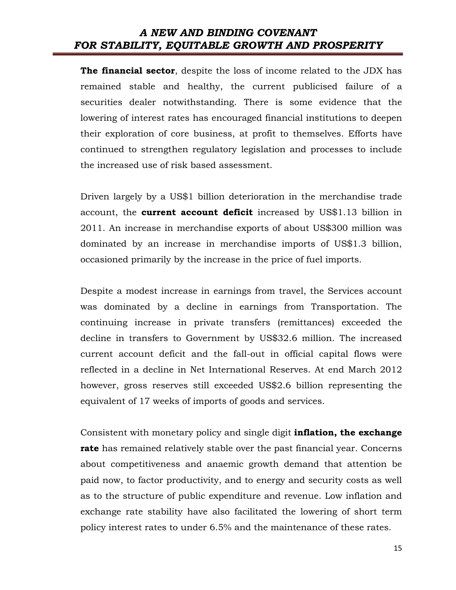The financial sector, despite the loss of income related to the JDX has remained stable and healthy, the current publicised failure of a securities dealer notwithstanding. There is some evidence that the lowering of interest rates has encouraged financial institutions to deepen their exploration of core business, at profit to themselves. Efforts have continued to strengthen regulatory legislation and processes to include the increased use of risk based assessment.

Driven largely by a US\$1 billion deterioration in the merchandise trade account, the **current account deficit** increased by US\$1.13 billion in 2011. An increase in merchandise exports of about US\$300 million was dominated by an increase in merchandise imports of US\$1.3 billion, occasioned primarily by the increase in the price of fuel imports.

Despite a modest increase in earnings from travel, the Services account was dominated by a decline in earnings from Transportation. The continuing increase in private transfers (remittances) exceeded the decline in transfers to Government by US\$32.6 million. The increased current account deficit and the fall-out in official capital flows were reflected in a decline in Net International Reserves. At end March 2012 however, gross reserves still exceeded US\$2.6 billion representing the equivalent of 17 weeks of imports of goods and services.

Consistent with monetary policy and single digit **inflation, the exchange** rate has remained relatively stable over the past financial year. Concerns about competitiveness and anaemic growth demand that attention be paid now, to factor productivity, and to energy and security costs as well as to the structure of public expenditure and revenue. Low inflation and exchange rate stability have also facilitated the lowering of short term policy interest rates to under 6.5% and the maintenance of these rates.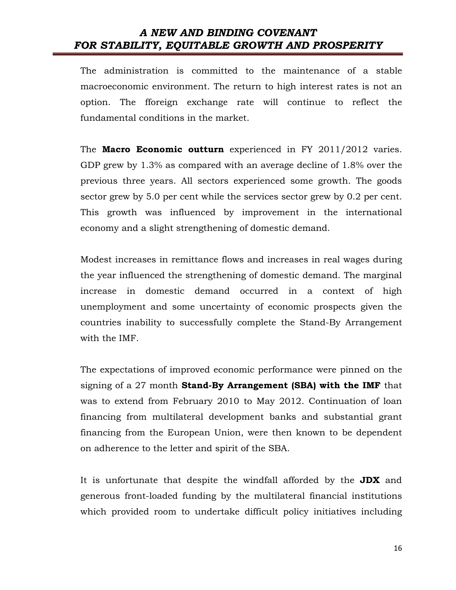The administration is committed to the maintenance of a stable macroeconomic environment. The return to high interest rates is not an option. The fforeign exchange rate will continue to reflect the fundamental conditions in the market.

The Macro Economic outturn experienced in FY 2011/2012 varies. GDP grew by 1.3% as compared with an average decline of 1.8% over the previous three years. All sectors experienced some growth. The goods sector grew by 5.0 per cent while the services sector grew by 0.2 per cent. This growth was influenced by improvement in the international economy and a slight strengthening of domestic demand.

Modest increases in remittance flows and increases in real wages during the year influenced the strengthening of domestic demand. The marginal increase in domestic demand occurred in a context of high unemployment and some uncertainty of economic prospects given the countries inability to successfully complete the Stand-By Arrangement with the IMF.

The expectations of improved economic performance were pinned on the signing of a  $27$  month **Stand-By Arrangement (SBA) with the IMF** that was to extend from February 2010 to May 2012. Continuation of loan financing from multilateral development banks and substantial grant financing from the European Union, were then known to be dependent on adherence to the letter and spirit of the SBA.

It is unfortunate that despite the windfall afforded by the **JDX** and generous front-loaded funding by the multilateral financial institutions which provided room to undertake difficult policy initiatives including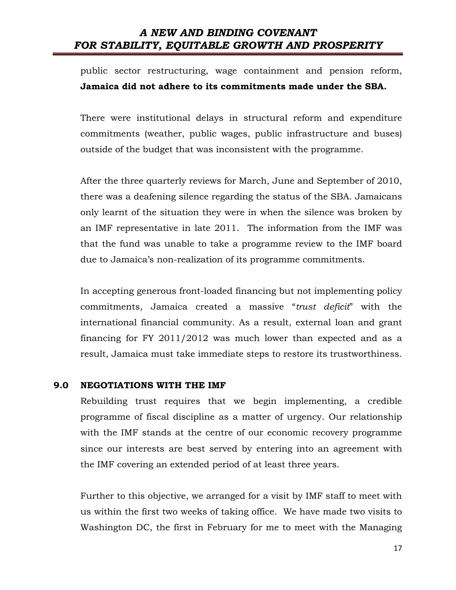public sector restructuring, wage containment and pension reform, Jamaica did not adhere to its commitments made under the SBA.

There were institutional delays in structural reform and expenditure commitments (weather, public wages, public infrastructure and buses) outside of the budget that was inconsistent with the programme.

After the three quarterly reviews for March, June and September of 2010, there was a deafening silence regarding the status of the SBA. Jamaicans only learnt of the situation they were in when the silence was broken by an IMF representative in late 2011. The information from the IMF was that the fund was unable to take a programme review to the IMF board due to Jamaica's non-realization of its programme commitments.

In accepting generous front-loaded financing but not implementing policy commitments, Jamaica created a massive "trust deficit" with the international financial community. As a result, external loan and grant financing for FY 2011/2012 was much lower than expected and as a result, Jamaica must take immediate steps to restore its trustworthiness.

#### 9.0 NEGOTIATIONS WITH THE IMF

Rebuilding trust requires that we begin implementing, a credible programme of fiscal discipline as a matter of urgency. Our relationship with the IMF stands at the centre of our economic recovery programme since our interests are best served by entering into an agreement with the IMF covering an extended period of at least three years.

Further to this objective, we arranged for a visit by IMF staff to meet with us within the first two weeks of taking office. We have made two visits to Washington DC, the first in February for me to meet with the Managing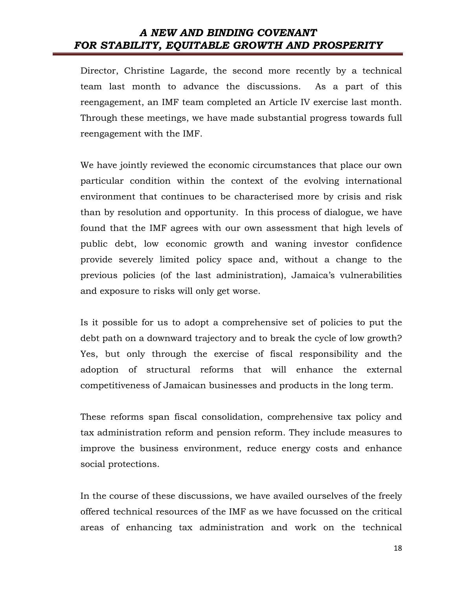Director, Christine Lagarde, the second more recently by a technical team last month to advance the discussions. As a part of this reengagement, an IMF team completed an Article IV exercise last month. Through these meetings, we have made substantial progress towards full reengagement with the IMF.

We have jointly reviewed the economic circumstances that place our own particular condition within the context of the evolving international environment that continues to be characterised more by crisis and risk than by resolution and opportunity. In this process of dialogue, we have found that the IMF agrees with our own assessment that high levels of public debt, low economic growth and waning investor confidence provide severely limited policy space and, without a change to the previous policies (of the last administration), Jamaica's vulnerabilities and exposure to risks will only get worse.

Is it possible for us to adopt a comprehensive set of policies to put the debt path on a downward trajectory and to break the cycle of low growth? Yes, but only through the exercise of fiscal responsibility and the adoption of structural reforms that will enhance the external competitiveness of Jamaican businesses and products in the long term.

These reforms span fiscal consolidation, comprehensive tax policy and tax administration reform and pension reform. They include measures to improve the business environment, reduce energy costs and enhance social protections.

In the course of these discussions, we have availed ourselves of the freely offered technical resources of the IMF as we have focussed on the critical areas of enhancing tax administration and work on the technical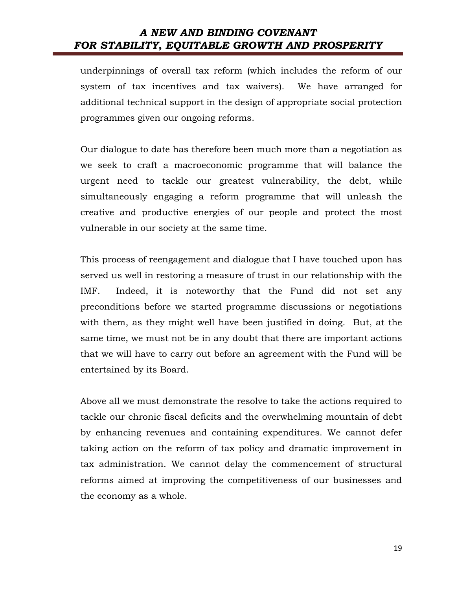underpinnings of overall tax reform (which includes the reform of our system of tax incentives and tax waivers). We have arranged for additional technical support in the design of appropriate social protection programmes given our ongoing reforms.

Our dialogue to date has therefore been much more than a negotiation as we seek to craft a macroeconomic programme that will balance the urgent need to tackle our greatest vulnerability, the debt, while simultaneously engaging a reform programme that will unleash the creative and productive energies of our people and protect the most vulnerable in our society at the same time.

This process of reengagement and dialogue that I have touched upon has served us well in restoring a measure of trust in our relationship with the IMF. Indeed, it is noteworthy that the Fund did not set any preconditions before we started programme discussions or negotiations with them, as they might well have been justified in doing. But, at the same time, we must not be in any doubt that there are important actions that we will have to carry out before an agreement with the Fund will be entertained by its Board.

Above all we must demonstrate the resolve to take the actions required to tackle our chronic fiscal deficits and the overwhelming mountain of debt by enhancing revenues and containing expenditures. We cannot defer taking action on the reform of tax policy and dramatic improvement in tax administration. We cannot delay the commencement of structural reforms aimed at improving the competitiveness of our businesses and the economy as a whole.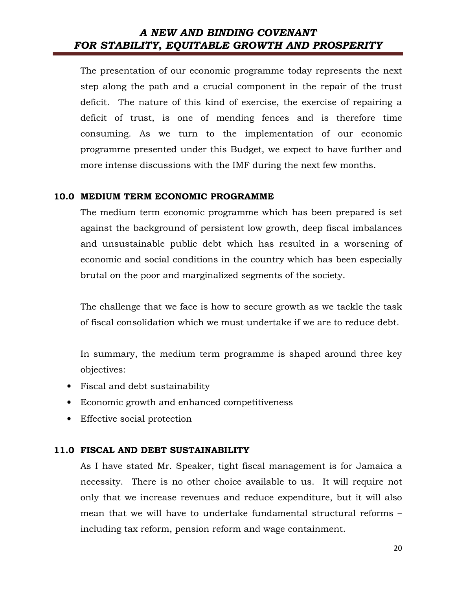The presentation of our economic programme today represents the next step along the path and a crucial component in the repair of the trust deficit. The nature of this kind of exercise, the exercise of repairing a deficit of trust, is one of mending fences and is therefore time consuming. As we turn to the implementation of our economic programme presented under this Budget, we expect to have further and more intense discussions with the IMF during the next few months.

#### 10.0 MEDIUM TERM ECONOMIC PROGRAMME

The medium term economic programme which has been prepared is set against the background of persistent low growth, deep fiscal imbalances and unsustainable public debt which has resulted in a worsening of economic and social conditions in the country which has been especially brutal on the poor and marginalized segments of the society.

The challenge that we face is how to secure growth as we tackle the task of fiscal consolidation which we must undertake if we are to reduce debt.

In summary, the medium term programme is shaped around three key objectives:

- Fiscal and debt sustainability
- Economic growth and enhanced competitiveness
- Effective social protection

#### 11.0 FISCAL AND DEBT SUSTAINABILITY

As I have stated Mr. Speaker, tight fiscal management is for Jamaica a necessity. There is no other choice available to us. It will require not only that we increase revenues and reduce expenditure, but it will also mean that we will have to undertake fundamental structural reforms – including tax reform, pension reform and wage containment.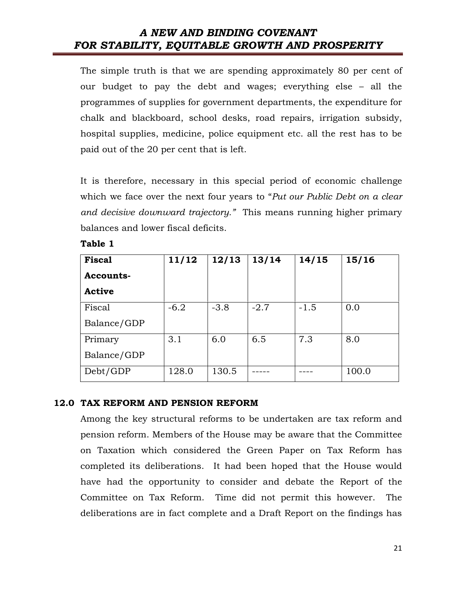The simple truth is that we are spending approximately 80 per cent of our budget to pay the debt and wages; everything else – all the programmes of supplies for government departments, the expenditure for chalk and blackboard, school desks, road repairs, irrigation subsidy, hospital supplies, medicine, police equipment etc. all the rest has to be paid out of the 20 per cent that is left.

It is therefore, necessary in this special period of economic challenge which we face over the next four years to "Put our Public Debt on a clear and decisive downward trajectory." This means running higher primary balances and lower fiscal deficits.

| <b>Table</b> |  |
|--------------|--|
|              |  |

| <b>Fiscal</b> | 11/12  | 12/13  | 13/14  | 14/15  | 15/16 |
|---------------|--------|--------|--------|--------|-------|
| Accounts-     |        |        |        |        |       |
| <b>Active</b> |        |        |        |        |       |
| Fiscal        | $-6.2$ | $-3.8$ | $-2.7$ | $-1.5$ | 0.0   |
| Balance/GDP   |        |        |        |        |       |
| Primary       | 3.1    | 6.0    | 6.5    | 7.3    | 8.0   |
| Balance/GDP   |        |        |        |        |       |
| Debt/GDP      | 128.0  | 130.5  |        |        | 100.0 |

#### 12.0 TAX REFORM AND PENSION REFORM

Among the key structural reforms to be undertaken are tax reform and pension reform. Members of the House may be aware that the Committee on Taxation which considered the Green Paper on Tax Reform has completed its deliberations. It had been hoped that the House would have had the opportunity to consider and debate the Report of the Committee on Tax Reform. Time did not permit this however. The deliberations are in fact complete and a Draft Report on the findings has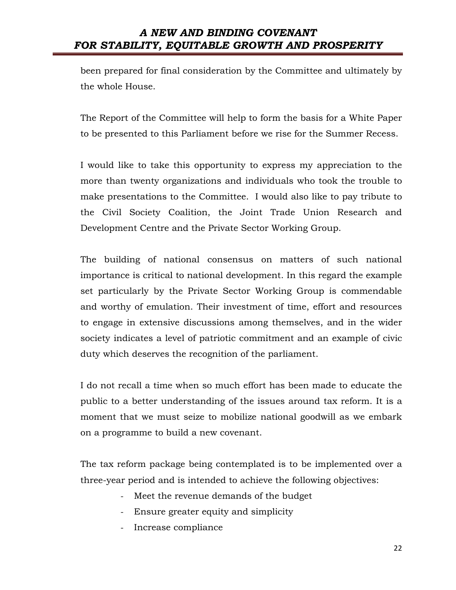been prepared for final consideration by the Committee and ultimately by the whole House.

The Report of the Committee will help to form the basis for a White Paper to be presented to this Parliament before we rise for the Summer Recess.

I would like to take this opportunity to express my appreciation to the more than twenty organizations and individuals who took the trouble to make presentations to the Committee. I would also like to pay tribute to the Civil Society Coalition, the Joint Trade Union Research and Development Centre and the Private Sector Working Group.

The building of national consensus on matters of such national importance is critical to national development. In this regard the example set particularly by the Private Sector Working Group is commendable and worthy of emulation. Their investment of time, effort and resources to engage in extensive discussions among themselves, and in the wider society indicates a level of patriotic commitment and an example of civic duty which deserves the recognition of the parliament.

I do not recall a time when so much effort has been made to educate the public to a better understanding of the issues around tax reform. It is a moment that we must seize to mobilize national goodwill as we embark on a programme to build a new covenant.

The tax reform package being contemplated is to be implemented over a three-year period and is intended to achieve the following objectives:

- Meet the revenue demands of the budget
- Ensure greater equity and simplicity
- Increase compliance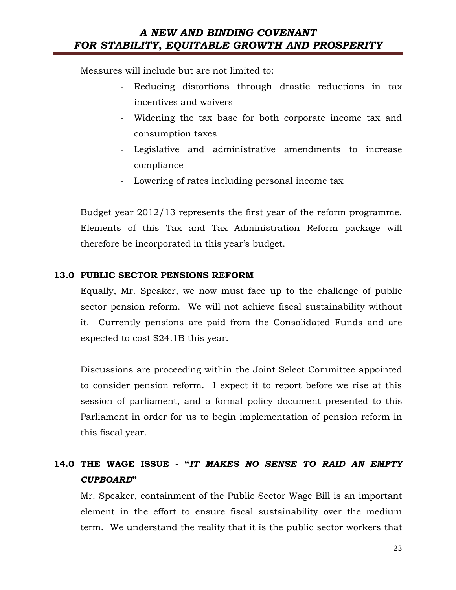Measures will include but are not limited to:

- Reducing distortions through drastic reductions in tax incentives and waivers
- Widening the tax base for both corporate income tax and consumption taxes
- Legislative and administrative amendments to increase compliance
- Lowering of rates including personal income tax

Budget year 2012/13 represents the first year of the reform programme. Elements of this Tax and Tax Administration Reform package will therefore be incorporated in this year's budget.

#### 13.0 PUBLIC SECTOR PENSIONS REFORM

Equally, Mr. Speaker, we now must face up to the challenge of public sector pension reform. We will not achieve fiscal sustainability without it. Currently pensions are paid from the Consolidated Funds and are expected to cost \$24.1B this year.

Discussions are proceeding within the Joint Select Committee appointed to consider pension reform. I expect it to report before we rise at this session of parliament, and a formal policy document presented to this Parliament in order for us to begin implementation of pension reform in this fiscal year.

## 14.0 THE WAGE ISSUE - "IT MAKES NO SENSE TO RAID AN EMPTY CUPBOARD"

Mr. Speaker, containment of the Public Sector Wage Bill is an important element in the effort to ensure fiscal sustainability over the medium term. We understand the reality that it is the public sector workers that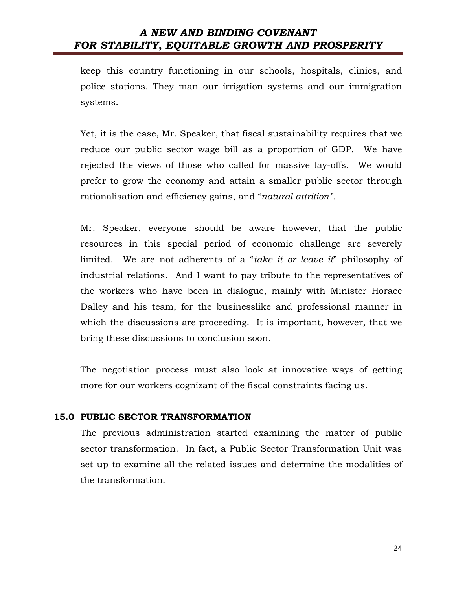keep this country functioning in our schools, hospitals, clinics, and police stations. They man our irrigation systems and our immigration systems.

Yet, it is the case, Mr. Speaker, that fiscal sustainability requires that we reduce our public sector wage bill as a proportion of GDP. We have rejected the views of those who called for massive lay-offs. We would prefer to grow the economy and attain a smaller public sector through rationalisation and efficiency gains, and "natural attrition".

Mr. Speaker, everyone should be aware however, that the public resources in this special period of economic challenge are severely limited. We are not adherents of a "take it or leave it" philosophy of industrial relations. And I want to pay tribute to the representatives of the workers who have been in dialogue, mainly with Minister Horace Dalley and his team, for the businesslike and professional manner in which the discussions are proceeding. It is important, however, that we bring these discussions to conclusion soon.

The negotiation process must also look at innovative ways of getting more for our workers cognizant of the fiscal constraints facing us.

#### 15.0 PUBLIC SECTOR TRANSFORMATION

The previous administration started examining the matter of public sector transformation. In fact, a Public Sector Transformation Unit was set up to examine all the related issues and determine the modalities of the transformation.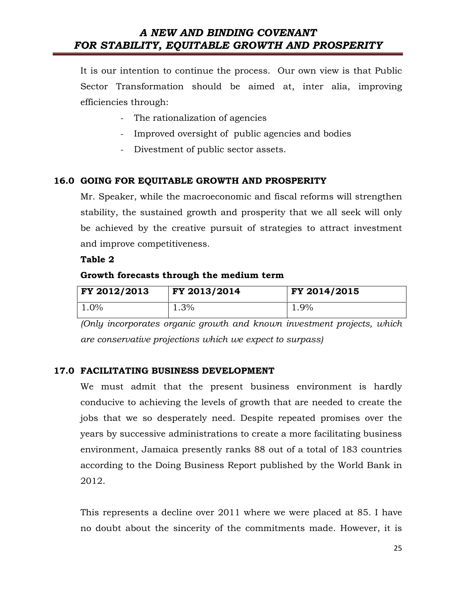It is our intention to continue the process. Our own view is that Public Sector Transformation should be aimed at, inter alia, improving efficiencies through:

- The rationalization of agencies
- Improved oversight of public agencies and bodies
- Divestment of public sector assets.

#### 16.0 GOING FOR EQUITABLE GROWTH AND PROSPERITY

Mr. Speaker, while the macroeconomic and fiscal reforms will strengthen stability, the sustained growth and prosperity that we all seek will only be achieved by the creative pursuit of strategies to attract investment and improve competitiveness.

#### Table 2

#### Growth forecasts through the medium term

| FY 2012/2013 | FY 2013/2014 | FY 2014/2015 |
|--------------|--------------|--------------|
| $1.0\%$      | 1.3%         | 1.9%         |

(Only incorporates organic growth and known investment projects, which are conservative projections which we expect to surpass)

#### 17.0 FACILITATING BUSINESS DEVELOPMENT

We must admit that the present business environment is hardly conducive to achieving the levels of growth that are needed to create the jobs that we so desperately need. Despite repeated promises over the years by successive administrations to create a more facilitating business environment, Jamaica presently ranks 88 out of a total of 183 countries according to the Doing Business Report published by the World Bank in 2012.

This represents a decline over 2011 where we were placed at 85. I have no doubt about the sincerity of the commitments made. However, it is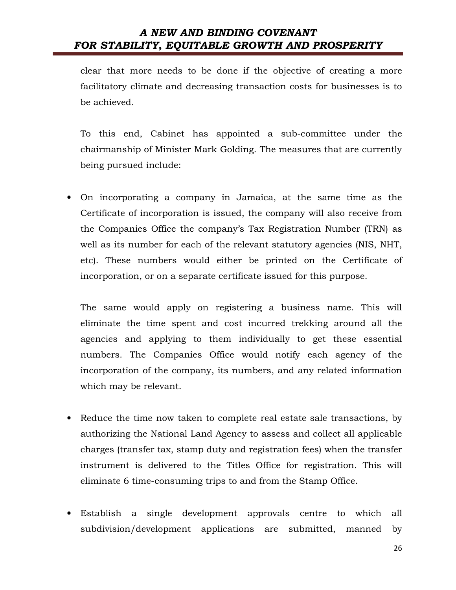clear that more needs to be done if the objective of creating a more facilitatory climate and decreasing transaction costs for businesses is to be achieved.

To this end, Cabinet has appointed a sub-committee under the chairmanship of Minister Mark Golding. The measures that are currently being pursued include:

• On incorporating a company in Jamaica, at the same time as the Certificate of incorporation is issued, the company will also receive from the Companies Office the company's Tax Registration Number (TRN) as well as its number for each of the relevant statutory agencies (NIS, NHT, etc). These numbers would either be printed on the Certificate of incorporation, or on a separate certificate issued for this purpose.

The same would apply on registering a business name. This will eliminate the time spent and cost incurred trekking around all the agencies and applying to them individually to get these essential numbers. The Companies Office would notify each agency of the incorporation of the company, its numbers, and any related information which may be relevant.

- Reduce the time now taken to complete real estate sale transactions, by authorizing the National Land Agency to assess and collect all applicable charges (transfer tax, stamp duty and registration fees) when the transfer instrument is delivered to the Titles Office for registration. This will eliminate 6 time-consuming trips to and from the Stamp Office.
- Establish a single development approvals centre to which all subdivision/development applications are submitted, manned by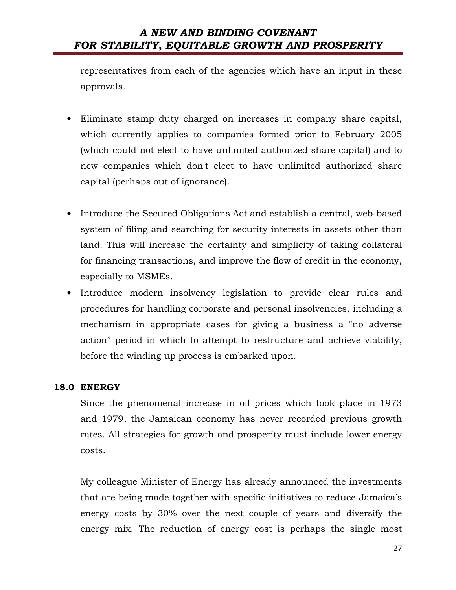representatives from each of the agencies which have an input in these approvals.

- Eliminate stamp duty charged on increases in company share capital, which currently applies to companies formed prior to February 2005 (which could not elect to have unlimited authorized share capital) and to new companies which don't elect to have unlimited authorized share capital (perhaps out of ignorance).
- Introduce the Secured Obligations Act and establish a central, web-based system of filing and searching for security interests in assets other than land. This will increase the certainty and simplicity of taking collateral for financing transactions, and improve the flow of credit in the economy, especially to MSMEs.
- Introduce modern insolvency legislation to provide clear rules and procedures for handling corporate and personal insolvencies, including a mechanism in appropriate cases for giving a business a "no adverse action" period in which to attempt to restructure and achieve viability, before the winding up process is embarked upon.

#### 18.0 ENERGY

Since the phenomenal increase in oil prices which took place in 1973 and 1979, the Jamaican economy has never recorded previous growth rates. All strategies for growth and prosperity must include lower energy costs.

My colleague Minister of Energy has already announced the investments that are being made together with specific initiatives to reduce Jamaica's energy costs by 30% over the next couple of years and diversify the energy mix. The reduction of energy cost is perhaps the single most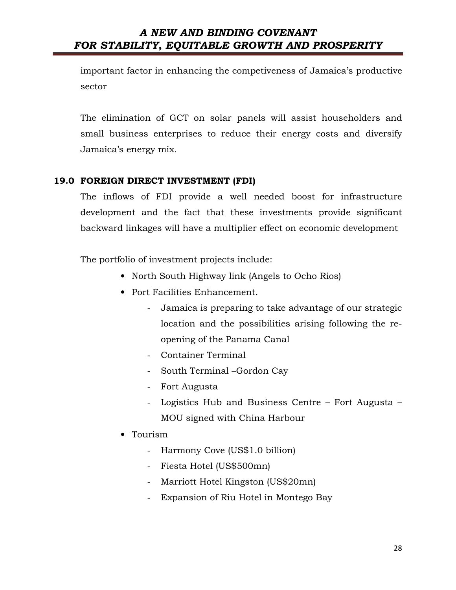important factor in enhancing the competiveness of Jamaica's productive sector

The elimination of GCT on solar panels will assist householders and small business enterprises to reduce their energy costs and diversify Jamaica's energy mix.

#### 19.0 FOREIGN DIRECT INVESTMENT (FDI)

The inflows of FDI provide a well needed boost for infrastructure development and the fact that these investments provide significant backward linkages will have a multiplier effect on economic development

The portfolio of investment projects include:

- North South Highway link (Angels to Ocho Rios)
- Port Facilities Enhancement.
	- Jamaica is preparing to take advantage of our strategic location and the possibilities arising following the reopening of the Panama Canal
	- Container Terminal
	- South Terminal –Gordon Cay
	- Fort Augusta
	- Logistics Hub and Business Centre Fort Augusta MOU signed with China Harbour
- Tourism
	- Harmony Cove (US\$1.0 billion)
	- Fiesta Hotel (US\$500mn)
	- Marriott Hotel Kingston (US\$20mn)
	- Expansion of Riu Hotel in Montego Bay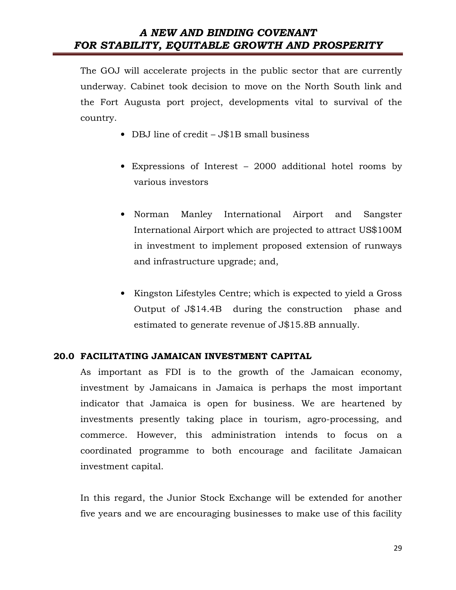The GOJ will accelerate projects in the public sector that are currently underway. Cabinet took decision to move on the North South link and the Fort Augusta port project, developments vital to survival of the country.

- DBJ line of credit J\$1B small business
- Expressions of Interest 2000 additional hotel rooms by various investors
- Norman Manley International Airport and Sangster International Airport which are projected to attract US\$100M in investment to implement proposed extension of runways and infrastructure upgrade; and,
- Kingston Lifestyles Centre; which is expected to yield a Gross Output of J\$14.4B during the construction phase and estimated to generate revenue of J\$15.8B annually.

#### 20.0 FACILITATING JAMAICAN INVESTMENT CAPITAL

As important as FDI is to the growth of the Jamaican economy, investment by Jamaicans in Jamaica is perhaps the most important indicator that Jamaica is open for business. We are heartened by investments presently taking place in tourism, agro-processing, and commerce. However, this administration intends to focus on a coordinated programme to both encourage and facilitate Jamaican investment capital.

In this regard, the Junior Stock Exchange will be extended for another five years and we are encouraging businesses to make use of this facility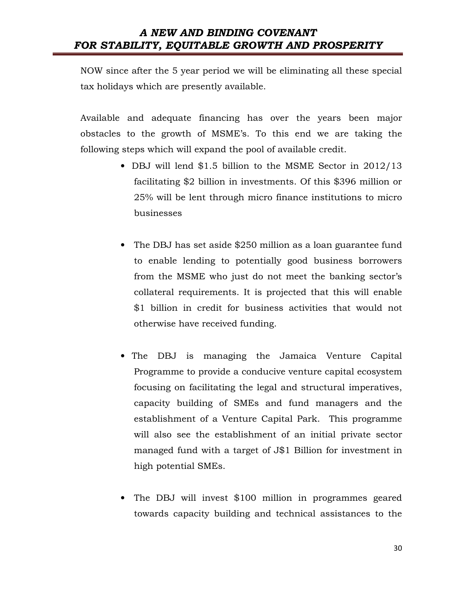NOW since after the 5 year period we will be eliminating all these special tax holidays which are presently available.

Available and adequate financing has over the years been major obstacles to the growth of MSME's. To this end we are taking the following steps which will expand the pool of available credit.

- DBJ will lend \$1.5 billion to the MSME Sector in 2012/13 facilitating \$2 billion in investments. Of this \$396 million or 25% will be lent through micro finance institutions to micro businesses
- The DBJ has set aside \$250 million as a loan guarantee fund to enable lending to potentially good business borrowers from the MSME who just do not meet the banking sector's collateral requirements. It is projected that this will enable \$1 billion in credit for business activities that would not otherwise have received funding.
- The DBJ is managing the Jamaica Venture Capital Programme to provide a conducive venture capital ecosystem focusing on facilitating the legal and structural imperatives, capacity building of SMEs and fund managers and the establishment of a Venture Capital Park. This programme will also see the establishment of an initial private sector managed fund with a target of J\$1 Billion for investment in high potential SMEs.
- The DBJ will invest \$100 million in programmes geared towards capacity building and technical assistances to the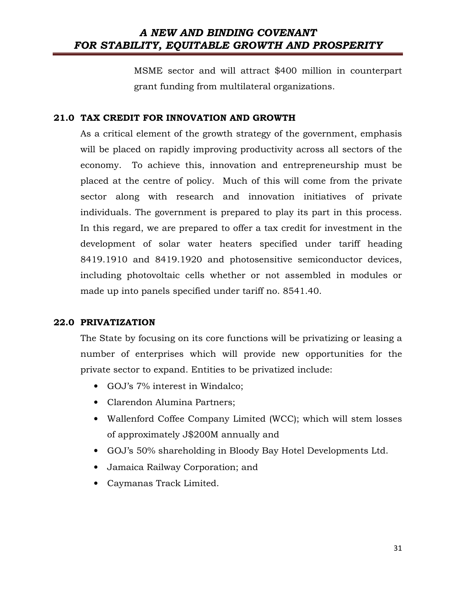MSME sector and will attract \$400 million in counterpart grant funding from multilateral organizations.

#### 21.0 TAX CREDIT FOR INNOVATION AND GROWTH

As a critical element of the growth strategy of the government, emphasis will be placed on rapidly improving productivity across all sectors of the economy. To achieve this, innovation and entrepreneurship must be placed at the centre of policy. Much of this will come from the private sector along with research and innovation initiatives of private individuals. The government is prepared to play its part in this process. In this regard, we are prepared to offer a tax credit for investment in the development of solar water heaters specified under tariff heading 8419.1910 and 8419.1920 and photosensitive semiconductor devices, including photovoltaic cells whether or not assembled in modules or made up into panels specified under tariff no. 8541.40.

#### 22.0 PRIVATIZATION

The State by focusing on its core functions will be privatizing or leasing a number of enterprises which will provide new opportunities for the private sector to expand. Entities to be privatized include:

- GOJ's 7% interest in Windalco;
- Clarendon Alumina Partners;
- Wallenford Coffee Company Limited (WCC); which will stem losses of approximately J\$200M annually and
- GOJ's 50% shareholding in Bloody Bay Hotel Developments Ltd.
- Jamaica Railway Corporation; and
- Caymanas Track Limited.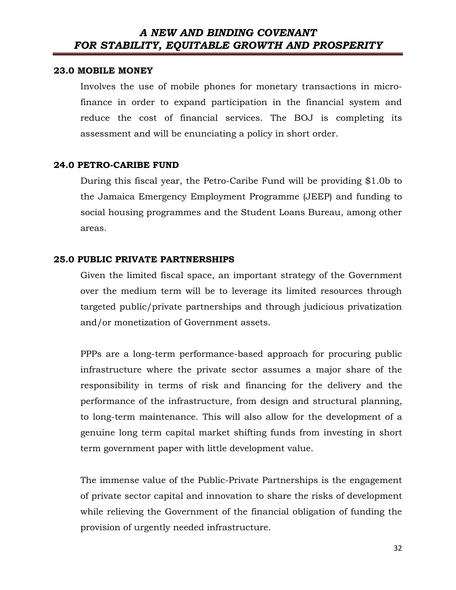#### 23.0 MOBILE MONEY

Involves the use of mobile phones for monetary transactions in microfinance in order to expand participation in the financial system and reduce the cost of financial services. The BOJ is completing its assessment and will be enunciating a policy in short order.

#### 24.0 PETRO-CARIBE FUND

During this fiscal year, the Petro-Caribe Fund will be providing \$1.0b to the Jamaica Emergency Employment Programme (JEEP) and funding to social housing programmes and the Student Loans Bureau, among other areas.

#### 25.0 PUBLIC PRIVATE PARTNERSHIPS

Given the limited fiscal space, an important strategy of the Government over the medium term will be to leverage its limited resources through targeted public/private partnerships and through judicious privatization and/or monetization of Government assets.

PPPs are a long-term performance-based approach for procuring public infrastructure where the private sector assumes a major share of the responsibility in terms of risk and financing for the delivery and the performance of the infrastructure, from design and structural planning, to long-term maintenance. This will also allow for the development of a genuine long term capital market shifting funds from investing in short term government paper with little development value.

The immense value of the Public-Private Partnerships is the engagement of private sector capital and innovation to share the risks of development while relieving the Government of the financial obligation of funding the provision of urgently needed infrastructure.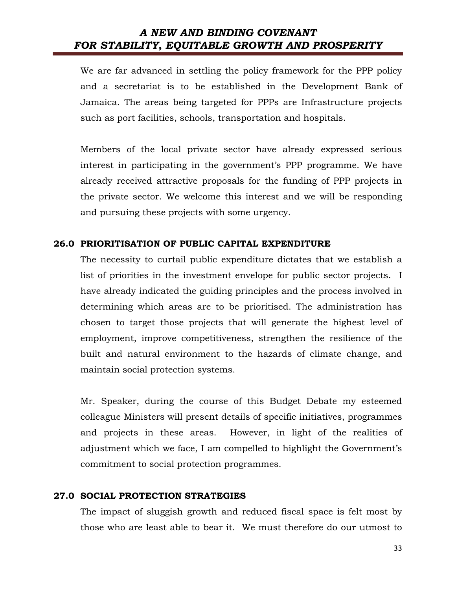We are far advanced in settling the policy framework for the PPP policy and a secretariat is to be established in the Development Bank of Jamaica. The areas being targeted for PPPs are Infrastructure projects such as port facilities, schools, transportation and hospitals.

Members of the local private sector have already expressed serious interest in participating in the government's PPP programme. We have already received attractive proposals for the funding of PPP projects in the private sector. We welcome this interest and we will be responding and pursuing these projects with some urgency.

#### 26.0 PRIORITISATION OF PUBLIC CAPITAL EXPENDITURE

The necessity to curtail public expenditure dictates that we establish a list of priorities in the investment envelope for public sector projects. I have already indicated the guiding principles and the process involved in determining which areas are to be prioritised. The administration has chosen to target those projects that will generate the highest level of employment, improve competitiveness, strengthen the resilience of the built and natural environment to the hazards of climate change, and maintain social protection systems.

Mr. Speaker, during the course of this Budget Debate my esteemed colleague Ministers will present details of specific initiatives, programmes and projects in these areas. However, in light of the realities of adjustment which we face, I am compelled to highlight the Government's commitment to social protection programmes.

#### 27.0 SOCIAL PROTECTION STRATEGIES

The impact of sluggish growth and reduced fiscal space is felt most by those who are least able to bear it. We must therefore do our utmost to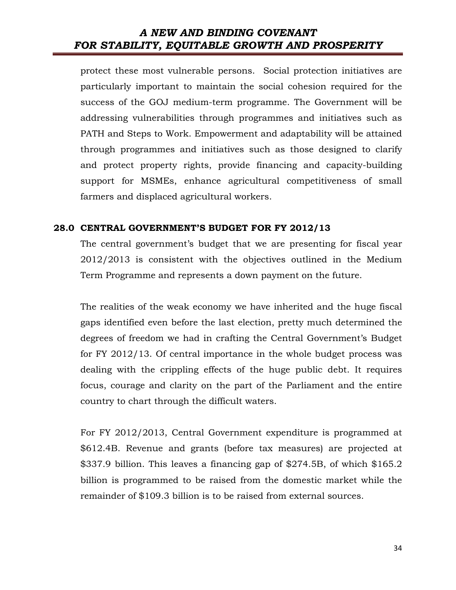protect these most vulnerable persons. Social protection initiatives are particularly important to maintain the social cohesion required for the success of the GOJ medium-term programme. The Government will be addressing vulnerabilities through programmes and initiatives such as PATH and Steps to Work. Empowerment and adaptability will be attained through programmes and initiatives such as those designed to clarify and protect property rights, provide financing and capacity-building support for MSMEs, enhance agricultural competitiveness of small farmers and displaced agricultural workers.

#### 28.0 CENTRAL GOVERNMENT'S BUDGET FOR FY 2012/13

The central government's budget that we are presenting for fiscal year 2012/2013 is consistent with the objectives outlined in the Medium Term Programme and represents a down payment on the future.

The realities of the weak economy we have inherited and the huge fiscal gaps identified even before the last election, pretty much determined the degrees of freedom we had in crafting the Central Government's Budget for FY 2012/13. Of central importance in the whole budget process was dealing with the crippling effects of the huge public debt. It requires focus, courage and clarity on the part of the Parliament and the entire country to chart through the difficult waters.

For FY 2012/2013, Central Government expenditure is programmed at \$612.4B. Revenue and grants (before tax measures) are projected at \$337.9 billion. This leaves a financing gap of \$274.5B, of which \$165.2 billion is programmed to be raised from the domestic market while the remainder of \$109.3 billion is to be raised from external sources.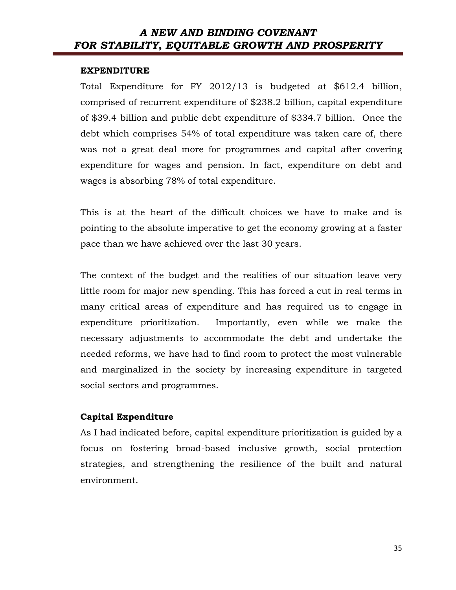#### EXPENDITURE

Total Expenditure for FY 2012/13 is budgeted at \$612.4 billion, comprised of recurrent expenditure of \$238.2 billion, capital expenditure of \$39.4 billion and public debt expenditure of \$334.7 billion. Once the debt which comprises 54% of total expenditure was taken care of, there was not a great deal more for programmes and capital after covering expenditure for wages and pension. In fact, expenditure on debt and wages is absorbing 78% of total expenditure.

This is at the heart of the difficult choices we have to make and is pointing to the absolute imperative to get the economy growing at a faster pace than we have achieved over the last 30 years.

The context of the budget and the realities of our situation leave very little room for major new spending. This has forced a cut in real terms in many critical areas of expenditure and has required us to engage in expenditure prioritization. Importantly, even while we make the necessary adjustments to accommodate the debt and undertake the needed reforms, we have had to find room to protect the most vulnerable and marginalized in the society by increasing expenditure in targeted social sectors and programmes.

#### Capital Expenditure

As I had indicated before, capital expenditure prioritization is guided by a focus on fostering broad-based inclusive growth, social protection strategies, and strengthening the resilience of the built and natural environment.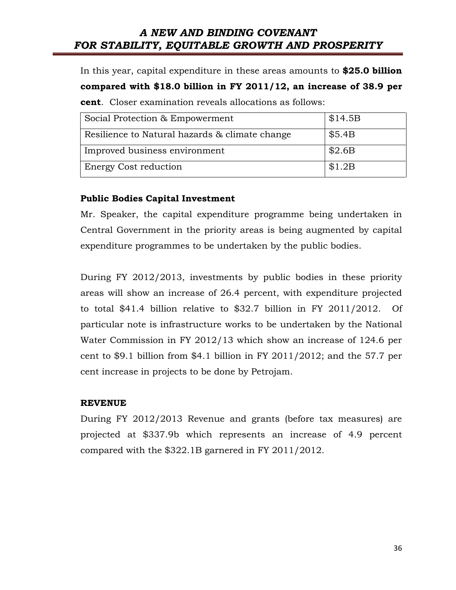In this year, capital expenditure in these areas amounts to \$25.0 billion compared with \$18.0 billion in FY 2011/12, an increase of 38.9 per cent. Closer examination reveals allocations as follows:

| Social Protection & Empowerment                | \$14.5B |
|------------------------------------------------|---------|
| Resilience to Natural hazards & climate change | \$5.4B  |
| Improved business environment                  | \$2.6B  |
| <b>Energy Cost reduction</b>                   | \$1.2B  |

#### Public Bodies Capital Investment

Mr. Speaker, the capital expenditure programme being undertaken in Central Government in the priority areas is being augmented by capital expenditure programmes to be undertaken by the public bodies.

During FY 2012/2013, investments by public bodies in these priority areas will show an increase of 26.4 percent, with expenditure projected to total \$41.4 billion relative to \$32.7 billion in FY 2011/2012. Of particular note is infrastructure works to be undertaken by the National Water Commission in FY 2012/13 which show an increase of 124.6 per cent to \$9.1 billion from \$4.1 billion in FY 2011/2012; and the 57.7 per cent increase in projects to be done by Petrojam.

#### REVENUE

During FY 2012/2013 Revenue and grants (before tax measures) are projected at \$337.9b which represents an increase of 4.9 percent compared with the \$322.1B garnered in FY 2011/2012.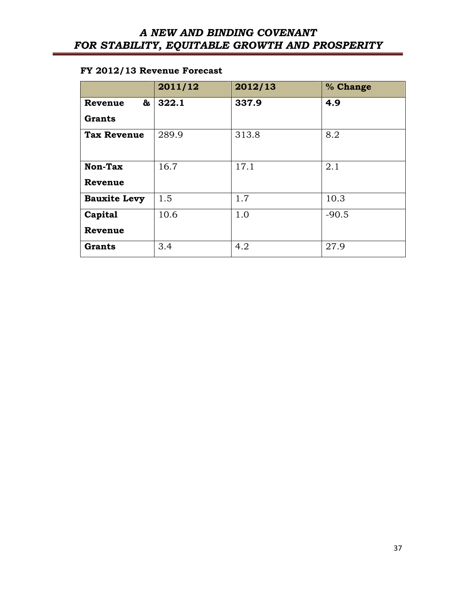### FY 2012/13 Revenue Forecast

|                     | 2011/12 | 2012/13 | % Change |
|---------------------|---------|---------|----------|
| &<br>Revenue        | 322.1   | 337.9   | 4.9      |
| Grants              |         |         |          |
| <b>Tax Revenue</b>  | 289.9   | 313.8   | 8.2      |
| Non-Tax<br>Revenue  | 16.7    | 17.1    | 2.1      |
| <b>Bauxite Levy</b> | 1.5     | 1.7     | 10.3     |
| Capital             | 10.6    | 1.0     | $-90.5$  |
| Revenue             |         |         |          |
| <b>Grants</b>       | 3.4     | 4.2     | 27.9     |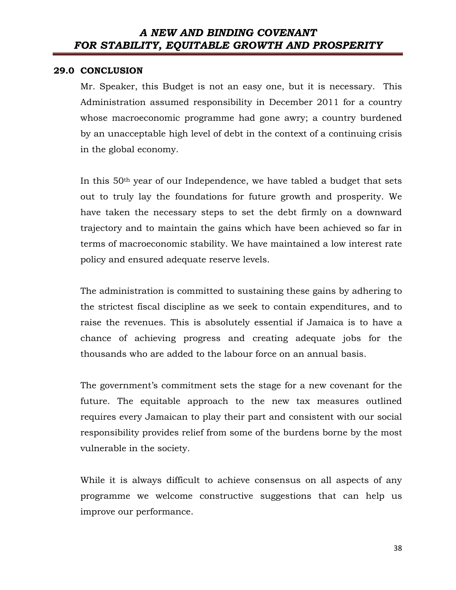#### 29.0 CONCLUSION

Mr. Speaker, this Budget is not an easy one, but it is necessary. This Administration assumed responsibility in December 2011 for a country whose macroeconomic programme had gone awry; a country burdened by an unacceptable high level of debt in the context of a continuing crisis in the global economy.

In this 50th year of our Independence, we have tabled a budget that sets out to truly lay the foundations for future growth and prosperity. We have taken the necessary steps to set the debt firmly on a downward trajectory and to maintain the gains which have been achieved so far in terms of macroeconomic stability. We have maintained a low interest rate policy and ensured adequate reserve levels.

The administration is committed to sustaining these gains by adhering to the strictest fiscal discipline as we seek to contain expenditures, and to raise the revenues. This is absolutely essential if Jamaica is to have a chance of achieving progress and creating adequate jobs for the thousands who are added to the labour force on an annual basis.

The government's commitment sets the stage for a new covenant for the future. The equitable approach to the new tax measures outlined requires every Jamaican to play their part and consistent with our social responsibility provides relief from some of the burdens borne by the most vulnerable in the society.

While it is always difficult to achieve consensus on all aspects of any programme we welcome constructive suggestions that can help us improve our performance.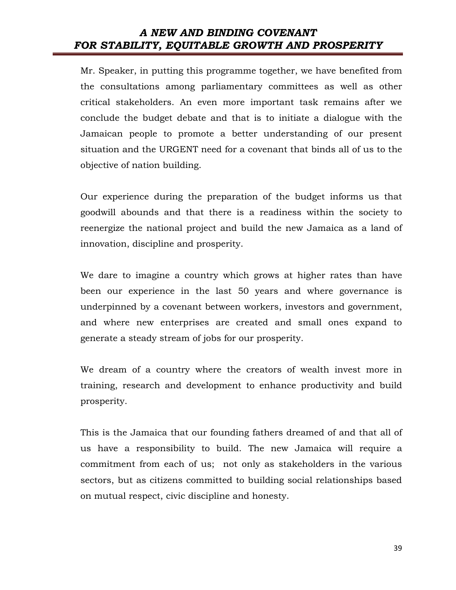Mr. Speaker, in putting this programme together, we have benefited from the consultations among parliamentary committees as well as other critical stakeholders. An even more important task remains after we conclude the budget debate and that is to initiate a dialogue with the Jamaican people to promote a better understanding of our present situation and the URGENT need for a covenant that binds all of us to the objective of nation building.

Our experience during the preparation of the budget informs us that goodwill abounds and that there is a readiness within the society to reenergize the national project and build the new Jamaica as a land of innovation, discipline and prosperity.

We dare to imagine a country which grows at higher rates than have been our experience in the last 50 years and where governance is underpinned by a covenant between workers, investors and government, and where new enterprises are created and small ones expand to generate a steady stream of jobs for our prosperity.

We dream of a country where the creators of wealth invest more in training, research and development to enhance productivity and build prosperity.

This is the Jamaica that our founding fathers dreamed of and that all of us have a responsibility to build. The new Jamaica will require a commitment from each of us; not only as stakeholders in the various sectors, but as citizens committed to building social relationships based on mutual respect, civic discipline and honesty.